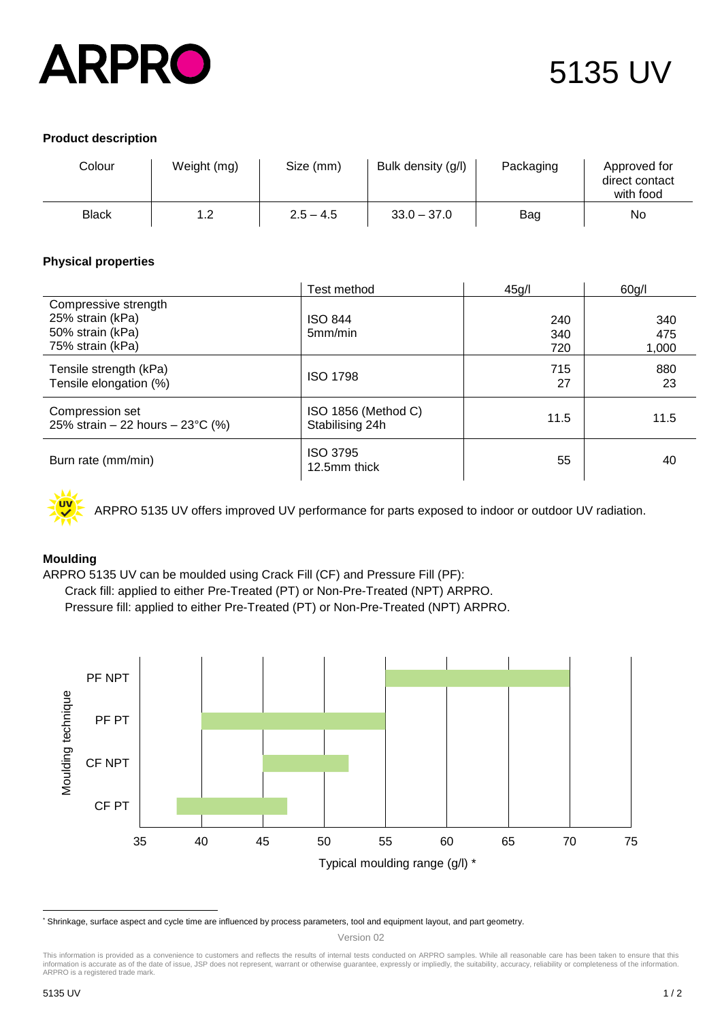

# 5135 UV

## **Product description**

| Colour | Weight (mg) | Size (mm)   | Bulk density (g/l) | Packaging | Approved for<br>direct contact<br>with food |
|--------|-------------|-------------|--------------------|-----------|---------------------------------------------|
| Black  | 1.2         | $2.5 - 4.5$ | $33.0 - 37.0$      | Bag       | No                                          |

### **Physical properties**

|                                                                                  | Test method                            | 45g/              | 60g/l               |
|----------------------------------------------------------------------------------|----------------------------------------|-------------------|---------------------|
| Compressive strength<br>25% strain (kPa)<br>50% strain (kPa)<br>75% strain (kPa) | <b>ISO 844</b><br>5mm/min              | 240<br>340<br>720 | 340<br>475<br>1,000 |
| Tensile strength (kPa)<br>Tensile elongation (%)                                 | <b>ISO 1798</b>                        | 715<br>27         | 880<br>23           |
| Compression set<br>25% strain $-$ 22 hours $-$ 23°C (%)                          | ISO 1856 (Method C)<br>Stabilising 24h | 11.5              | 11.5                |
| Burn rate (mm/min)                                                               | <b>ISO 3795</b><br>12.5mm thick        | 55                | 40                  |



ARPRO 5135 UV offers improved UV performance for parts exposed to indoor or outdoor UV radiation.

## **Moulding\***

ARPRO 5135 UV can be moulded using Crack Fill (CF) and Pressure Fill (PF):

Crack fill: applied to either Pre-Treated (PT) or Non-Pre-Treated (NPT) ARPRO.

Pressure fill: applied to either Pre-Treated (PT) or Non-Pre-Treated (NPT) ARPRO.



<sup>\*</sup> Shrinkage, surface aspect and cycle time are influenced by process parameters, tool and equipment layout, and part geometry.

 $\overline{a}$ 

Version 02

This information is provided as a convenience to customers and reflects the results of internal tests conducted on ARPRO samples. While all reasonable care has been taken to ensure that this<br>information is accurate as of t ARPRO is a registered trade mark.